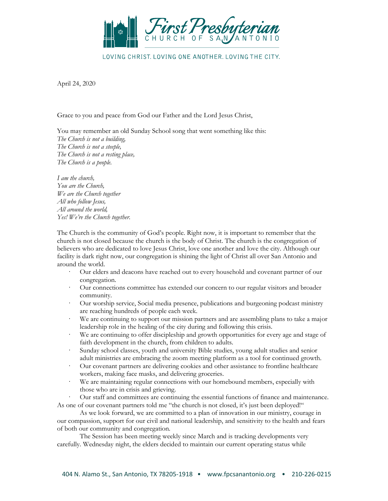

LOVING CHRIST, LOVING ONE ANOTHER, LOVING THE CITY.

April 24, 2020

Grace to you and peace from God our Father and the Lord Jesus Christ,

You may remember an old Sunday School song that went something like this: *The Church is not a building, The Church is not a steeple, The Church is not a resting place, The Church is a people.*

*I am the church, You are the Church, We are the Church together All who follow Jesus, All around the world, Yes! We're the Church together.*

The Church is the community of God's people. Right now, it is important to remember that the church is not closed because the church is the body of Christ. The church is the congregation of believers who are dedicated to love Jesus Christ, love one another and love the city. Although our facility is dark right now, our congregation is shining the light of Christ all over San Antonio and around the world.

- · Our elders and deacons have reached out to every household and covenant partner of our congregation.
- Our connections committee has extended our concern to our regular visitors and broader community.
- · Our worship service, Social media presence, publications and burgeoning podcast ministry are reaching hundreds of people each week.
- We are continuing to support our mission partners and are assembling plans to take a major leadership role in the healing of the city during and following this crisis.
- · We are continuing to offer discipleship and growth opportunities for every age and stage of faith development in the church, from children to adults.
- · Sunday school classes, youth and university Bible studies, young adult studies and senior adult ministries are embracing the zoom meeting platform as a tool for continued growth.
- · Our covenant partners are delivering cookies and other assistance to frontline healthcare workers, making face masks, and delivering groceries.
- We are maintaining regular connections with our homebound members, especially with those who are in crisis and grieving.

· Our staff and committees are continuing the essential functions of finance and maintenance. As one of our covenant partners told me "the church is not closed, it's just been deployed!"

As we look forward, we are committed to a plan of innovation in our ministry, courage in our compassion, support for our civil and national leadership, and sensitivity to the health and fears of both our community and congregation.

The Session has been meeting weekly since March and is tracking developments very carefully. Wednesday night, the elders decided to maintain our current operating status while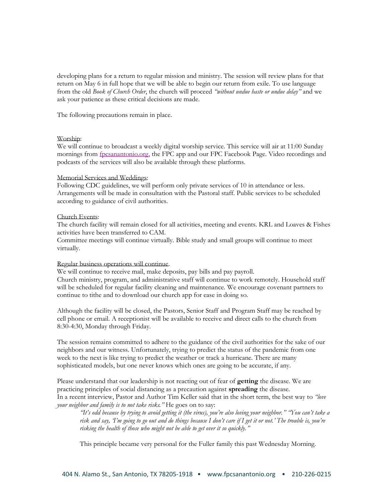developing plans for a return to regular mission and ministry. The session will review plans for that return on May 6 in full hope that we will be able to begin our return from exile. To use language from the old *Book of Church Order*, the church will proceed *"without undue haste or undue delay"* and we ask your patience as these critical decisions are made.

The following precautions remain in place.

## Worship:

We will continue to broadcast a weekly digital worship service. This service will air at 11:00 Sunday mornings from [fpcsanantonio.org,](http://fpcsanantonio.org/) the FPC app and our FPC Facebook Page. Video recordings and podcasts of the services will also be available through these platforms.

## Memorial Services and Weddings:

Following CDC guidelines, we will perform only private services of 10 in attendance or less. Arrangements will be made in consultation with the Pastoral staff. Public services to be scheduled according to guidance of civil authorities.

## Church Events:

The church facility will remain closed for all activities, meeting and events. KRL and Loaves & Fishes activities have been transferred to CAM.

Committee meetings will continue virtually. Bible study and small groups will continue to meet virtually.

## Regular business operations will continue.

We will continue to receive mail, make deposits, pay bills and pay payroll. Church ministry, program, and administrative staff will continue to work remotely. Household staff will be scheduled for regular facility cleaning and maintenance. We encourage covenant partners to continue to tithe and to download our church app for ease in doing so.

Although the facility will be closed, the Pastors, Senior Staff and Program Staff may be reached by cell phone or email. A receptionist will be available to receive and direct calls to the church from 8:30-4:30, Monday through Friday.

The session remains committed to adhere to the guidance of the civil authorities for the sake of our neighbors and our witness. Unfortunately, trying to predict the status of the pandemic from one week to the next is like trying to predict the weather or track a hurricane. There are many sophisticated models, but one never knows which ones are going to be accurate, if any.

Please understand that our leadership is not reacting out of fear of **getting** the disease. We are practicing principles of social distancing as a precaution against **spreading** the disease. In a recent interview, Pastor and Author Tim Keller said that in the short term, the best way to *"love your neighbor and family is to not take risks."* He goes on to say:

*"It's odd because by trying to avoid getting it (the virus), you're also loving your neighbor." "You can't take a risk and say, 'I'm going to go out and do things because I don't care if I get it or not.' The trouble is, you're risking the health of those who might not be able to get over it so quickly."*

This principle became very personal for the Fuller family this past Wednesday Morning.